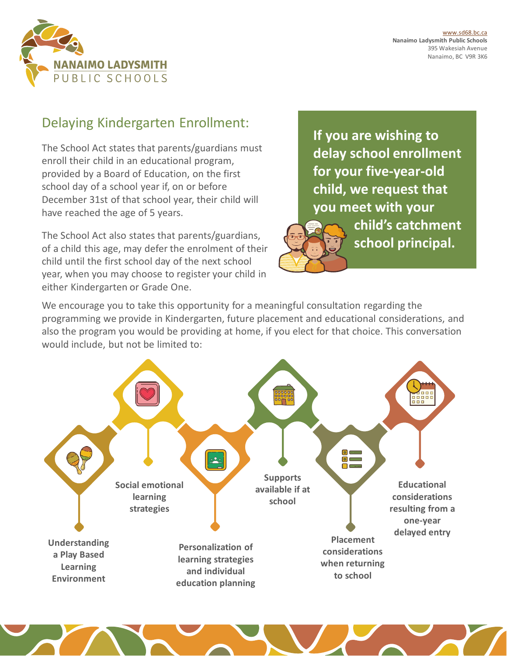

## Delaying Kindergarten Enrollment:

The School Act states that parents/guardians must enroll their child in an educational program, provided by a Board of Education, on the first school day of a school year if, on or before December 31st of that school year, their child will have reached the age of 5 years.

The School Act also states that parents/guardians, of a child this age, may defer the enrolment of their child until the first school day of the next school year, when you may choose to register your child in either Kindergarten or Grade One.

**If you are wishing to delay school enrollment for your five-year-old child, we request that you meet with your child's catchment**  school principal.

We encourage you to take this opportunity for a meaningful consultation regarding the programming we provide in Kindergarten, future placement and educational considerations, and also the program you would be providing at home, if you elect for that choice. This conversation would include, but not be limited to: